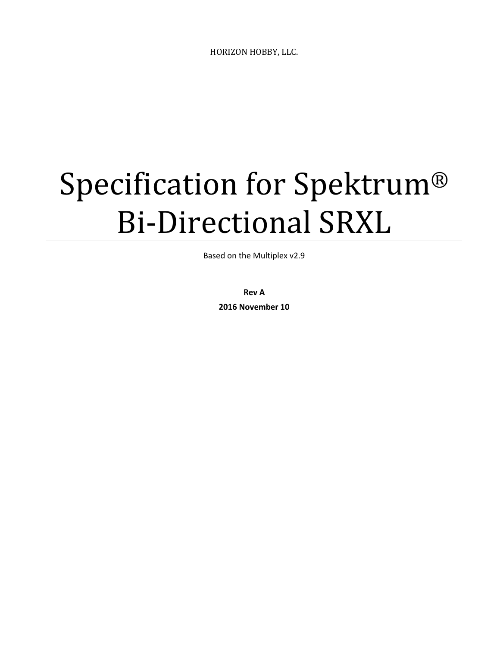HORIZON HOBBY, LLC.

# Specification for Spektrum® Bi-Directional SRXL

Based on the Multiplex v2.9

**Rev A 2016 November 10**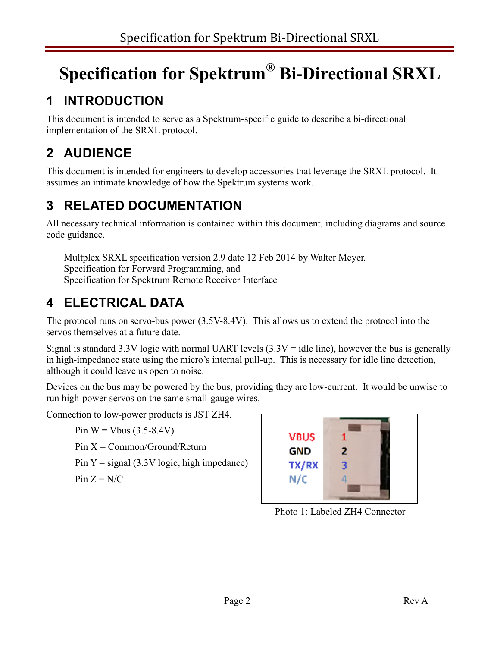## **Specification for Spektrum® Bi-Directional SRXL**

## **1 INTRODUCTION**

This document is intended to serve as a Spektrum-specific guide to describe a bi-directional implementation of the SRXL protocol.

## **2 AUDIENCE**

This document is intended for engineers to develop accessories that leverage the SRXL protocol. It assumes an intimate knowledge of how the Spektrum systems work.

## **3 RELATED DOCUMENTATION**

All necessary technical information is contained within this document, including diagrams and source code guidance.

Multplex SRXL specification version 2.9 date 12 Feb 2014 by Walter Meyer. Specification for Forward Programming, and Specification for Spektrum Remote Receiver Interface

## **4 ELECTRICAL DATA**

The protocol runs on servo-bus power (3.5V-8.4V). This allows us to extend the protocol into the servos themselves at a future date.

Signal is standard 3.3V logic with normal UART levels  $(3.3V = id$ le line), however the bus is generally in high-impedance state using the micro's internal pull-up. This is necessary for idle line detection, although it could leave us open to noise.

Devices on the bus may be powered by the bus, providing they are low-current. It would be unwise to run high-power servos on the same small-gauge wires.

Connection to low-power products is JST ZH4.

Pin  $W = Vbus$  (3.5-8.4V)  $Pin X = Common/Ground/Return$ Pin  $Y =$  signal (3.3V logic, high impedance) Pin  $Z = N/C$ 



Photo 1: Labeled ZH4 Connector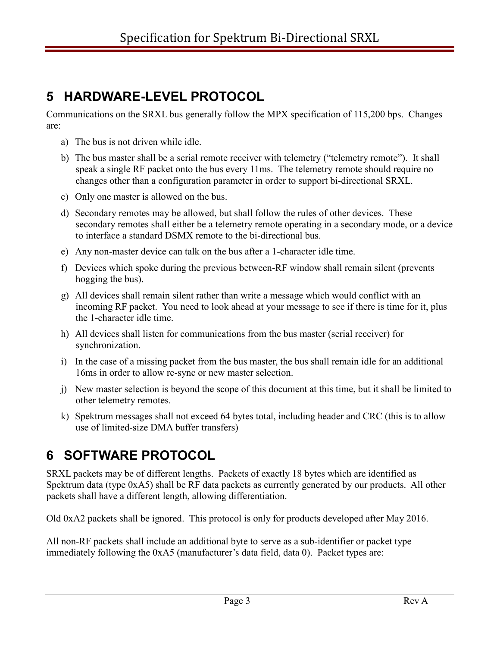## **5 HARDWARE-LEVEL PROTOCOL**

Communications on the SRXL bus generally follow the MPX specification of 115,200 bps. Changes are:

- a) The bus is not driven while idle.
- b) The bus master shall be a serial remote receiver with telemetry ("telemetry remote"). It shall speak a single RF packet onto the bus every 11ms. The telemetry remote should require no changes other than a configuration parameter in order to support bi-directional SRXL.
- c) Only one master is allowed on the bus.
- d) Secondary remotes may be allowed, but shall follow the rules of other devices. These secondary remotes shall either be a telemetry remote operating in a secondary mode, or a device to interface a standard DSMX remote to the bi-directional bus.
- e) Any non-master device can talk on the bus after a 1-character idle time.
- f) Devices which spoke during the previous between-RF window shall remain silent (prevents hogging the bus).
- g) All devices shall remain silent rather than write a message which would conflict with an incoming RF packet. You need to look ahead at your message to see if there is time for it, plus the 1-character idle time.
- h) All devices shall listen for communications from the bus master (serial receiver) for synchronization.
- i) In the case of a missing packet from the bus master, the bus shall remain idle for an additional 16ms in order to allow re-sync or new master selection.
- j) New master selection is beyond the scope of this document at this time, but it shall be limited to other telemetry remotes.
- k) Spektrum messages shall not exceed 64 bytes total, including header and CRC (this is to allow use of limited-size DMA buffer transfers)

## **6 SOFTWARE PROTOCOL**

SRXL packets may be of different lengths. Packets of exactly 18 bytes which are identified as Spektrum data (type 0xA5) shall be RF data packets as currently generated by our products. All other packets shall have a different length, allowing differentiation.

Old 0xA2 packets shall be ignored. This protocol is only for products developed after May 2016.

All non-RF packets shall include an additional byte to serve as a sub-identifier or packet type immediately following the 0xA5 (manufacturer's data field, data 0). Packet types are: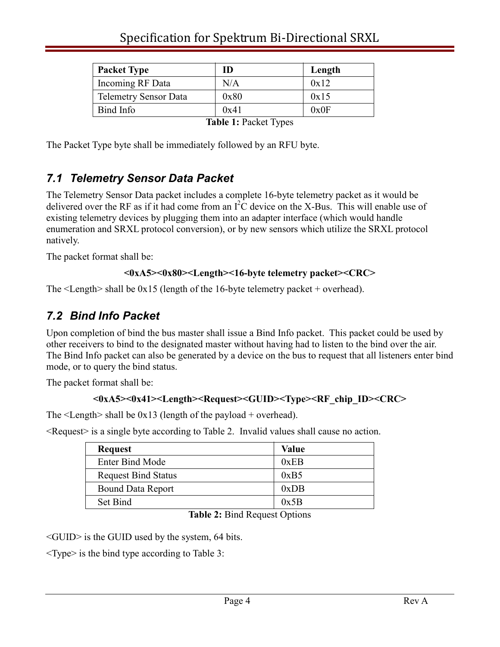#### Specification for Spektrum Bi-Directional SRXL

| <b>Packet Type</b>           | ID       | Length |
|------------------------------|----------|--------|
| Incoming RF Data             | N/A      | 0x12   |
| <b>Telemetry Sensor Data</b> | 0x80     | 0x15   |
| Bind Info                    | 0x41     | 0x0F   |
|                              | -------- |        |

**Table 1:** Packet Types

The Packet Type byte shall be immediately followed by an RFU byte.

#### *7.1 Telemetry Sensor Data Packet*

The Telemetry Sensor Data packet includes a complete 16-byte telemetry packet as it would be delivered over the RF as if it had come from an  $I^2C$  device on the X-Bus. This will enable use of existing telemetry devices by plugging them into an adapter interface (which would handle enumeration and SRXL protocol conversion), or by new sensors which utilize the SRXL protocol natively.

The packet format shall be:

#### **<0xA5><0x80><Length><16-byte telemetry packet><CRC>**

The <Length> shall be 0x15 (length of the 16-byte telemetry packet + overhead).

#### *7.2 Bind Info Packet*

Upon completion of bind the bus master shall issue a Bind Info packet. This packet could be used by other receivers to bind to the designated master without having had to listen to the bind over the air. The Bind Info packet can also be generated by a device on the bus to request that all listeners enter bind mode, or to query the bind status.

The packet format shall be:

#### <0xA5><0x41><Length><Request><GUID><Type><RF\_chip\_ID><CRC>

The  $\leq$  Length $>$  shall be 0x13 (length of the payload + overhead).

<Request> is a single byte according to Table 2. Invalid values shall cause no action.

| <b>Request</b>             | Value |
|----------------------------|-------|
| <b>Enter Bind Mode</b>     | 0xEB  |
| <b>Request Bind Status</b> | 0xB5  |
| <b>Bound Data Report</b>   | 0xDB  |
| Set Bind                   | 0x5B  |

**Table 2:** Bind Request Options

<GUID> is the GUID used by the system, 64 bits.

<Type> is the bind type according to Table 3: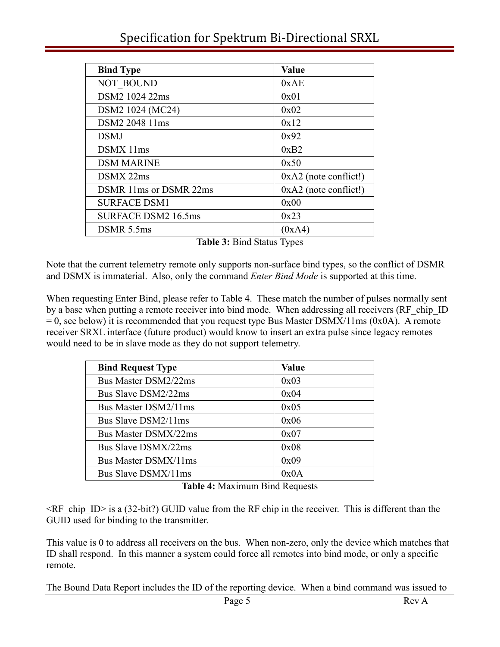#### Specification for Spektrum Bi-Directional SRXL

| <b>Bind Type</b>           | <b>Value</b>            |  |
|----------------------------|-------------------------|--|
| <b>NOT BOUND</b>           | 0xAE                    |  |
| DSM2 1024 22ms             | 0x01                    |  |
| DSM2 1024 (MC24)           | 0x02                    |  |
| DSM2 2048 11ms             | 0x12                    |  |
| <b>DSMJ</b>                | 0x92                    |  |
| DSMX 11ms                  | 0xB2                    |  |
| <b>DSM MARINE</b>          | 0x50                    |  |
| DSMX 22ms                  | $0xA2$ (note conflict!) |  |
| DSMR 11ms or DSMR 22ms     | $0xA2$ (note conflict!) |  |
| <b>SURFACE DSM1</b>        | 0x00                    |  |
| <b>SURFACE DSM2 16.5ms</b> | 0x23                    |  |
| DSMR 5.5ms                 | (0xA4)                  |  |

**Table 3:** Bind Status Types

Note that the current telemetry remote only supports non-surface bind types, so the conflict of DSMR and DSMX is immaterial. Also, only the command *Enter Bind Mode* is supported at this time.

When requesting Enter Bind, please refer to Table 4. These match the number of pulses normally sent by a base when putting a remote receiver into bind mode. When addressing all receivers (RF chip ID  $= 0$ , see below) it is recommended that you request type Bus Master DSMX/11ms (0x0A). A remote receiver SRXL interface (future product) would know to insert an extra pulse since legacy remotes would need to be in slave mode as they do not support telemetry.

| <b>Bind Request Type</b> | Value |
|--------------------------|-------|
| Bus Master DSM2/22ms     | 0x03  |
| Bus Slave DSM2/22ms      | 0x04  |
| Bus Master DSM2/11ms     | 0x05  |
| Bus Slave DSM2/11ms      | 0x06  |
| Bus Master DSMX/22ms     | 0x07  |
| Bus Slave DSMX/22ms      | 0x08  |
| Bus Master DSMX/11ms     | 0x09  |
| Bus Slave DSMX/11ms      | 0x0A  |
|                          |       |

**Table 4:** Maximum Bind Requests

<RF\_chip\_ID> is a (32-bit?) GUID value from the RF chip in the receiver. This is different than the GUID used for binding to the transmitter.

This value is 0 to address all receivers on the bus. When non-zero, only the device which matches that ID shall respond. In this manner a system could force all remotes into bind mode, or only a specific remote.

The Bound Data Report includes the ID of the reporting device. When a bind command was issued to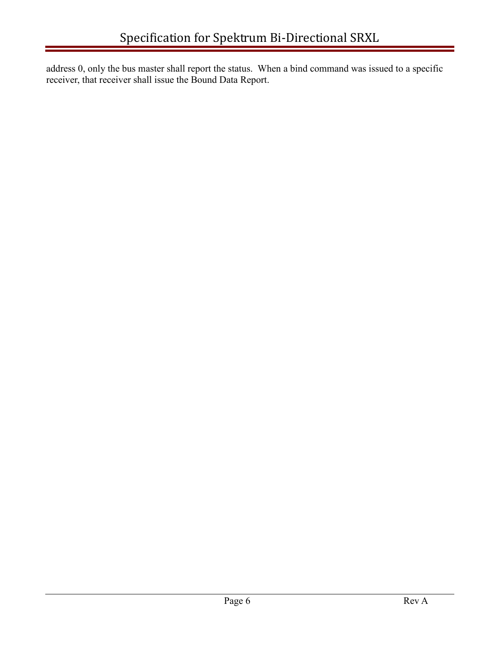address 0, only the bus master shall report the status. When a bind command was issued to a specific receiver, that receiver shall issue the Bound Data Report.